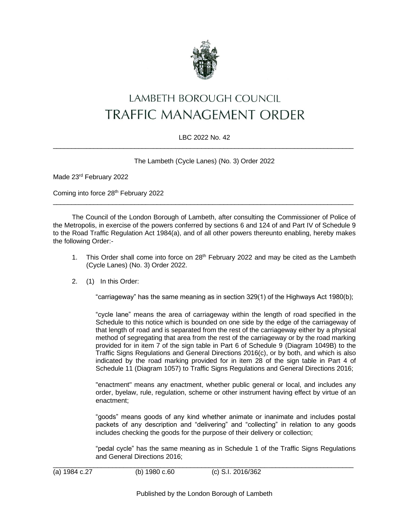

# LAMBETH BOROUGH COUNCIL TRAFFIC MANAGEMENT ORDER

### LBC 2022 No. 42 \_\_\_\_\_\_\_\_\_\_\_\_\_\_\_\_\_\_\_\_\_\_\_\_\_\_\_\_\_\_\_\_\_\_\_\_\_\_\_\_\_\_\_\_\_\_\_\_\_\_\_\_\_\_\_\_\_\_\_\_\_\_\_\_\_\_\_\_\_\_\_\_\_\_\_\_\_\_\_\_\_

The Lambeth (Cycle Lanes) (No. 3) Order 2022

Made 23rd February 2022

Coming into force 28th February 2022

The Council of the London Borough of Lambeth, after consulting the Commissioner of Police of the Metropolis, in exercise of the powers conferred by sections 6 and 124 of and Part IV of Schedule 9 to the Road Traffic Regulation Act 1984(a), and of all other powers thereunto enabling, hereby makes the following Order:-

 $\_$  , and the set of the set of the set of the set of the set of the set of the set of the set of the set of the set of the set of the set of the set of the set of the set of the set of the set of the set of the set of th

- 1. This Order shall come into force on 28<sup>th</sup> February 2022 and may be cited as the Lambeth (Cycle Lanes) (No. 3) Order 2022.
- 2. (1) In this Order:

"carriageway" has the same meaning as in section 329(1) of the Highways Act 1980(b);

"cycle lane" means the area of carriageway within the length of road specified in the Schedule to this notice which is bounded on one side by the edge of the carriageway of that length of road and is separated from the rest of the carriageway either by a physical method of segregating that area from the rest of the carriageway or by the road marking provided for in item 7 of the sign table in Part 6 of Schedule 9 (Diagram 1049B) to the Traffic Signs Regulations and General Directions 2016(c), or by both, and which is also indicated by the road marking provided for in item 28 of the sign table in Part 4 of Schedule 11 (Diagram 1057) to Traffic Signs Regulations and General Directions 2016;

"enactment" means any enactment, whether public general or local, and includes any order, byelaw, rule, regulation, scheme or other instrument having effect by virtue of an enactment;

"goods" means goods of any kind whether animate or inanimate and includes postal packets of any description and "delivering" and "collecting" in relation to any goods includes checking the goods for the purpose of their delivery or collection;

"pedal cycle" has the same meaning as in Schedule 1 of the Traffic Signs Regulations and General Directions 2016;

\_\_\_\_\_\_\_\_\_\_\_\_\_\_\_\_\_\_\_\_\_\_\_\_\_\_\_\_\_\_\_\_\_\_\_\_\_\_\_\_\_\_\_\_\_\_\_\_\_\_\_\_\_\_\_\_\_\_\_\_\_\_\_\_\_\_\_\_\_\_\_\_\_\_\_\_\_\_\_\_\_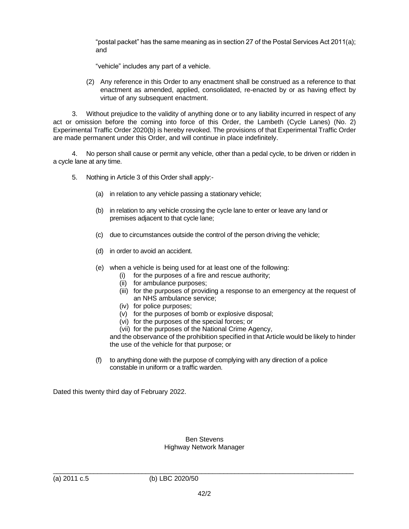"postal packet" has the same meaning as in section 27 of the Postal Services Act 2011(a); and

"vehicle" includes any part of a vehicle.

(2) Any reference in this Order to any enactment shall be construed as a reference to that enactment as amended, applied, consolidated, re-enacted by or as having effect by virtue of any subsequent enactment.

3. Without prejudice to the validity of anything done or to any liability incurred in respect of any act or omission before the coming into force of this Order, the Lambeth (Cycle Lanes) (No. 2) Experimental Traffic Order 2020(b) is hereby revoked. The provisions of that Experimental Traffic Order are made permanent under this Order, and will continue in place indefinitely.

4. No person shall cause or permit any vehicle, other than a pedal cycle, to be driven or ridden in a cycle lane at any time.

- 5. Nothing in Article 3 of this Order shall apply:-
	- (a) in relation to any vehicle passing a stationary vehicle;
	- (b) in relation to any vehicle crossing the cycle lane to enter or leave any land or premises adjacent to that cycle lane;
	- (c) due to circumstances outside the control of the person driving the vehicle;
	- (d) in order to avoid an accident.
	- (e) when a vehicle is being used for at least one of the following:
		- (i) for the purposes of a fire and rescue authority;
		- (ii) for ambulance purposes;
		- (iii) for the purposes of providing a response to an emergency at the request of an NHS ambulance service;
		- (iv) for police purposes;
		- (v) for the purposes of bomb or explosive disposal;
		- (vi) for the purposes of the special forces; or
		- (vii) for the purposes of the National Crime Agency,

and the observance of the prohibition specified in that Article would be likely to hinder the use of the vehicle for that purpose; or

(f) to anything done with the purpose of complying with any direction of a police constable in uniform or a traffic warden.

Dated this twenty third day of February 2022.

#### Ben Stevens Highway Network Manager

\_\_\_\_\_\_\_\_\_\_\_\_\_\_\_\_\_\_\_\_\_\_\_\_\_\_\_\_\_\_\_\_\_\_\_\_\_\_\_\_\_\_\_\_\_\_\_\_\_\_\_\_\_\_\_\_\_\_\_\_\_\_\_\_\_\_\_\_\_\_\_\_\_\_\_\_\_\_\_\_\_